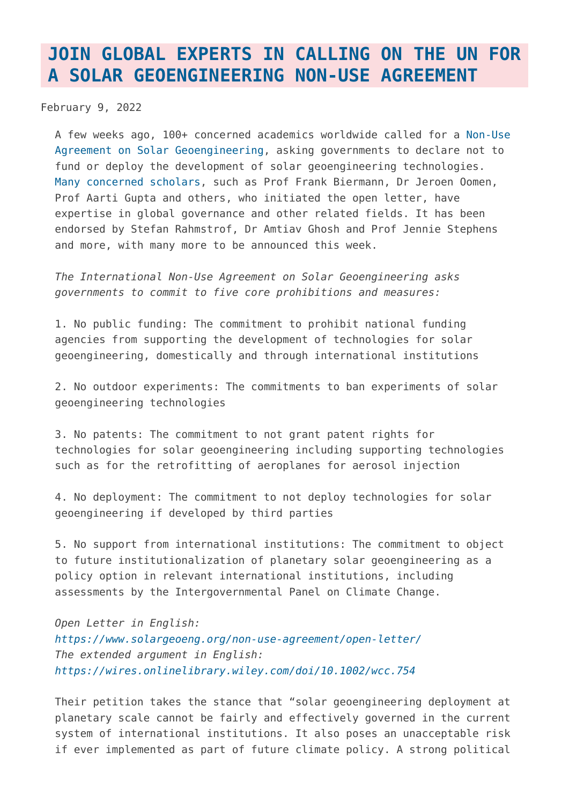## **[JOIN GLOBAL EXPERTS IN CALLING ON THE UN FOR](https://www.geoengineeringmonitor.org/2022/02/join-global-experts-in-calling-on-the-un-for-a-solar-geoengineering-non-use-agreement/) [A SOLAR GEOENGINEERING NON-USE AGREEMENT](https://www.geoengineeringmonitor.org/2022/02/join-global-experts-in-calling-on-the-un-for-a-solar-geoengineering-non-use-agreement/)**

February 9, 2022

A few weeks ago, 100+ concerned academics worldwide called for a [Non-Use](https://www.solargeoeng.org/) [Agreement on Solar Geoengineering](https://www.solargeoeng.org/), asking governments to declare not to fund or deploy the development of solar geoengineering technologies. [Many concerned scholars,](https://www.solargeoeng.org/non-use-agreement/signatories/) such as Prof Frank Biermann, Dr Jeroen Oomen, Prof Aarti Gupta and others, who initiated the open letter, have expertise in global governance and other related fields. It has been endorsed by Stefan Rahmstrof, Dr Amtiav Ghosh and Prof Jennie Stephens and more, with many more to be announced this week.

*The International Non-Use Agreement on Solar Geoengineering asks governments to commit to five core prohibitions and measures:*

1. No public funding: The commitment to prohibit national funding agencies from supporting the development of technologies for solar geoengineering, domestically and through international institutions

2. No outdoor experiments: The commitments to ban experiments of solar geoengineering technologies

3. No patents: The commitment to not grant patent rights for technologies for solar geoengineering including supporting technologies such as for the retrofitting of aeroplanes for aerosol injection

4. No deployment: The commitment to not deploy technologies for solar geoengineering if developed by third parties

5. No support from international institutions: The commitment to object to future institutionalization of planetary solar geoengineering as a policy option in relevant international institutions, including assessments by the Intergovernmental Panel on Climate Change.

*Open Letter in English: <https://www.solargeoeng.org/non-use-agreement/open-letter/> The extended argument in English: <https://wires.onlinelibrary.wiley.com/doi/10.1002/wcc.754>*

Their petition takes the stance that "solar geoengineering deployment at planetary scale cannot be fairly and effectively governed in the current system of international institutions. It also poses an unacceptable risk if ever implemented as part of future climate policy. A strong political